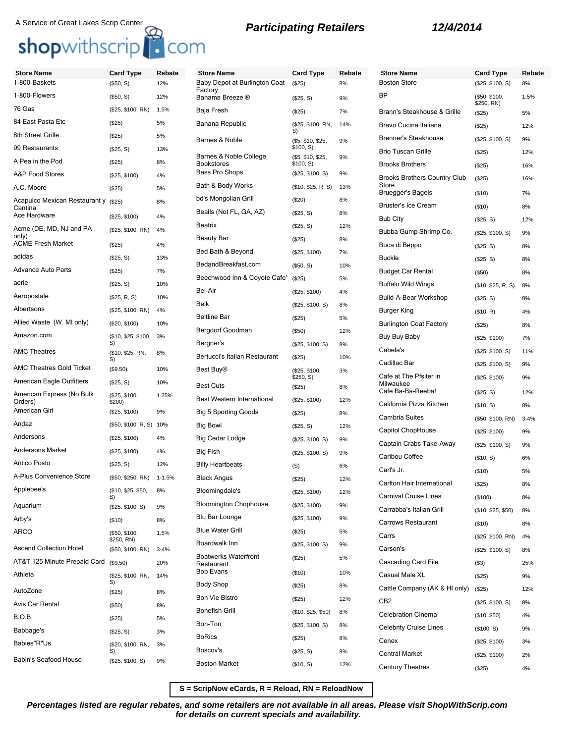## shopwithscrip<sup>1</sup> com

## **Store Name Card Type Rebate** 1-800-Baskets (\$50, S) 12% 1-800-Flowers (\$50, S) 12% 76 Gas (\$25, \$100, RN) 1.5% 84 East Pasta Etc (\$25) 5% 8th Street Grille (\$25) 5% 99 Restaurants (\$25, S) 13% A Pea in the Pod (\$25) 8% A&P Food Stores (\$25, \$100) 4% A.C. Moore (\$25) 5% Acapulco Mexican Restaurant y (\$25) 8% **Cantina** Ace Hardware (\$25, \$100) 4% Acme (DE, MD, NJ and PA only) (\$25, \$100, RN) 4% ACME Fresh Market (\$25) 4% adidas (\$25, S) 13% Advance Auto Parts (\$25) 7% aerie (\$25, S) 10% Aeropostale (\$25, R, S) 10% Albertsons (\$25, \$100, RN) 4% Allied Waste (W. MI only) (\$20, \$100) 10% Amazon.com (\$10, \$25, \$100, S) 3% AMC Theatres (\$10, \$25, RN, S) 8% AMC Theatres Gold Ticket (\$9.50) 10% American Eagle Outfitters (\$25, S) 10% American Express (No Bulk Orders) (\$25, \$100,  $$200$ 1.25% American Girl (\$25, \$100) 9% Andaz (\$50, \$100, R, S) 10% Andersons (\$25, \$100) 4% Andersons Market (\$25, \$100) 4% Antico Posto (\$25, S) 12% A-Plus Convenience Store (\$50, \$250, RN) 1-1.5% Applebee's (\$10, \$25, \$50, S) 8% Aquarium (\$25, \$100, S) 9% Arby's (\$10) 8% ARCO (\$50, \$100, \$250, RN) 1.5% Ascend Collection Hotel (\$50, \$100, RN) 3-4% AT&T 125 Minute Prepaid Card (\$9.50) 20% Athleta (\$25, \$100, RN, S) 14% AutoZone (\$25) 8% Avis Car Rental (\$50) 8% B.O.B. (\$25) 5% Babbage's (\$25, S) 3% Babies"R"Us (\$20, \$100, RN, S) 3%

Babin's Seafood House (\$25, \$100, S) 9%

| Store Name                                                    | <b>Card Type</b>                                   | Rebate |
|---------------------------------------------------------------|----------------------------------------------------|--------|
| Baby Depot at Burlington Coat<br>Factory                      | (\$25)                                             | 8%     |
| Bahama Breeze ®                                               | $(\$25, S)$                                        | 9%     |
| Baja Fresh                                                    | (\$25)                                             | 7%     |
| Banana Republic                                               | (\$25, \$100, RN,<br>S)                            | 14%    |
| Barnes & Noble                                                | (\$5, \$10, \$25,<br>\$100, S)                     | 9%     |
| Barnes & Noble College<br>Bookstores<br><b>Bass Pro Shops</b> | (\$5, \$10, \$25,<br>\$100, S)<br>(\$25, \$100, S) | 9%     |
| Bath & Body Works                                             |                                                    | 9%     |
| bd's Mongolian Grill                                          | (\$10, \$25, R, S)                                 | 13%    |
| Bealls (Not FL, GA, AZ)                                       | $(\$20)$                                           | 8%     |
| Beatrix                                                       | (\$25, S)                                          | 8%     |
| Beauty Bar                                                    | (\$25, S)                                          | 12%    |
| Bed Bath & Beyond                                             | (\$25)                                             | 8%     |
| BedandBreakfast.com                                           | (\$25, \$100)                                      | 7%     |
|                                                               | (\$50, S)                                          | 10%    |
| Beechwood Inn & Coyote Cafe'                                  | (S25)                                              | 5%     |
| Bel-Air                                                       | (\$25, \$100)                                      | 4%     |
| Belk                                                          | (\$25, \$100, S)                                   | 8%     |
| <b>Beltline Bar</b>                                           | (\$25)                                             | 5%     |
| Bergdorf Goodman                                              | $($ \$50)                                          | 12%    |
| Bergner's                                                     | (\$25, \$100, S)                                   | 8%     |
| Bertucci's Italian Restaurant                                 | (S25)                                              | 10%    |
| Best Buy®                                                     | (\$25, \$100,<br>\$250, S)                         | 3%     |
| <b>Best Cuts</b>                                              | (S25)                                              | 8%     |
| <b>Best Western International</b>                             | (\$25, \$100)                                      | 12%    |
| Big 5 Sporting Goods                                          | (\$25)                                             | 8%     |
| <b>Big Bowl</b>                                               | $(\$25, S)$                                        | 12%    |
| Big Cedar Lodge                                               | (\$25, \$100, S)                                   | 9%     |
| Big Fish                                                      | (\$25, \$100, S)                                   | 9%     |
| <b>Billy Heartbeats</b>                                       | (S)                                                | 6%     |
| <b>Black Angus</b>                                            | (\$25)                                             | 12%    |
| Bloomingdale's                                                | (\$25, \$100)                                      | 12%    |
| <b>Bloomington Chophouse</b>                                  | (\$25, \$100)                                      | 9%     |
| Blu Bar Lounge                                                | (\$25, \$100)                                      | 9%     |
| <b>Blue Water Grill</b>                                       | (\$25)                                             | 5%     |
| Boardwalk Inn                                                 | (\$25, \$100, S)                                   | 9%     |
| <b>Boatwerks Waterfront</b>                                   | (\$25)                                             | 5%     |
| Restaurant<br><b>Bob Evans</b>                                | ( \$10)                                            | 10%    |
| <b>Body Shop</b>                                              | (\$25)                                             | 8%     |
| <b>Bon Vie Bistro</b>                                         | (\$25)                                             | 12%    |
| <b>Bonefish Grill</b>                                         | (\$10, \$25, \$50)                                 | 8%     |
| Bon-Ton                                                       | (\$25, \$100, S)                                   | 8%     |
| <b>BoRics</b>                                                 | (\$25)                                             | 8%     |
| Boscov's                                                      | (\$25, S)                                          | 8%     |
| <b>Boston Market</b>                                          | ( \$10 S)                                          | 12%    |

## Boston Store (\$25, \$100, S) 8% BP (\$50, \$100, \$250, RN) 1.5% Brann's Steakhouse & Grille (\$25) 5% Bravo Cucina Italiana (\$25) 12% Brenner's Steakhouse (\$25, \$100, S) 9% Brio Tuscan Grille (\$25) 12% Brooks Brothers (\$25) 16% Brooks Brothers Country Club Store (\$25) 16% Bruegger's Bagels (\$10) 7% Bruster's Ice Cream (\$10) 8% Bub City (\$25, S) 12% Bubba Gump Shrimp Co. (\$25, \$100, S) 9% Buca di Beppo (\$25, S) 8% Buckle (\$25, S) 8% Budget Car Rental (\$50) 8% Buffalo Wild Wings (\$10, \$25, R, S) 8% Build-A-Bear Workshop (\$25, S) 8% Burger King (\$10, R) 4% Burlington Coat Factory (\$25) 8% Buy Buy Baby (\$25, \$100) 7% Cabela's (\$25, \$100, S) 11% Cadillac Bar (\$25, \$100, S) 9% Cafe at The Pfsiter in Milwaukee (\$25, \$100) 9% Cafe Ba-Ba-Reeba! (\$25, S) 12% California Pizza Kitchen (\$10, S) 8% Cambria Suites (\$50, \$100, RN) 3-4% Capitol ChopHouse (\$25, \$100) 9% Captain Crabs Take-Away (\$25, \$100, S) 9% Caribou Coffee (\$10, S) 6% Carl's Jr. (\$10) 5% Carlton Hair International (\$25) 8% Carnival Cruise Lines (\$100) 8% Carrabba's Italian Grill (\$10, \$25, \$50) 8% Carrows Restaurant (\$10) 8% Carrs (\$25, \$100, RN) 4% Carson's (\$25, \$100, S) 8% Cascading Card File (\$3) 25% Casual Male XL (\$25) 9% Cattle Company (AK & HI only) (\$25) 12% CB2 (\$25, \$100, S) 8% Celebration Cinema (\$10, \$50) 4% Celebrity Cruise Lines (\$100, S) 9% Cenex (\$25, \$100) 3% Central Market (\$25, \$100) 2% Century Theatres (\$25) 4%

**S = ScripNow eCards, R = Reload, RN = ReloadNow**

**Percentages listed are regular rebates, and some retailers are not available in all areas. Please visit ShopWithScrip.com for details on current specials and availability.**

## A Service of Great Lakes Scrip Center<br> **Participating Retailers 12/4/2014**

**Store Name Card Type Rebate**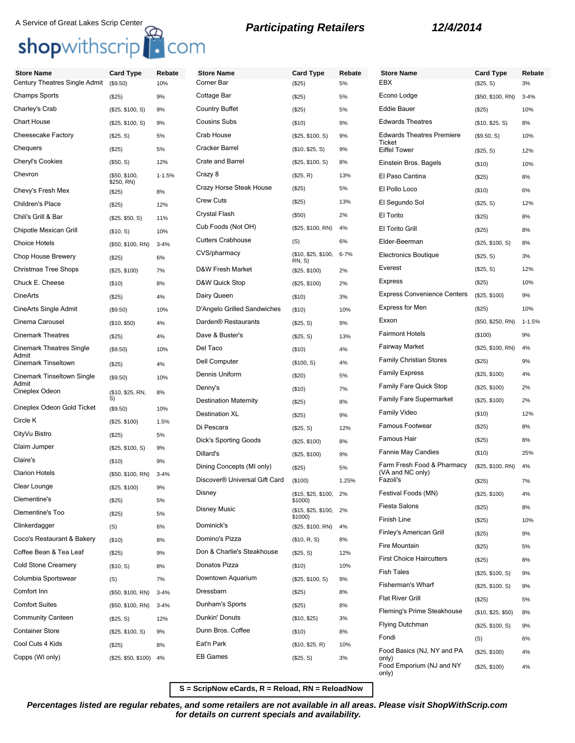## A Service of Great Lakes Scrip Center<br> **Shop**withscrip<br> **COM** Participating Retailers 12/4/2014

| <b>Store Name</b>                   | <b>Card Type</b>            | Rebate     | <b>Store Name</b>                         | <b>Card Type</b>                     | Rebate   | <b>Store Name</b>                              | <b>Card Type</b>   | Rebate     |
|-------------------------------------|-----------------------------|------------|-------------------------------------------|--------------------------------------|----------|------------------------------------------------|--------------------|------------|
| Century Theatres Single Admit       | (\$9.50)                    | 10%        | Corner Bar                                | (\$25)                               | 5%       | <b>EBX</b>                                     | (\$25, S)          | 3%         |
| Champs Sports                       | (\$25)                      | 9%         | Cottage Bar                               | (\$25)                               | 5%       | Econo Lodge                                    | (\$50, \$100, RN)  | $3 - 4%$   |
| Charley's Crab                      | (\$25, \$100, S)            | 9%         | <b>Country Buffet</b>                     | (\$25)                               | 5%       | <b>Eddie Bauer</b>                             | (\$25)             | 10%        |
| <b>Chart House</b>                  | (\$25, \$100, S)            | 9%         | <b>Cousins Subs</b>                       | (\$10)                               | 9%       | <b>Edwards Theatres</b>                        | (\$10, \$25, S)    | 8%         |
| Cheesecake Factory                  | (\$25, S)                   | 5%         | Crab House                                | (\$25, \$100, S)                     | 9%       | <b>Edwards Theatres Premiere</b><br>Ticket     | (\$9.50, S)        | 10%        |
| Chequers                            | (\$25)                      | 5%         | <b>Cracker Barrel</b>                     | (\$10, \$25, S)                      | 9%       | <b>Eiffel Tower</b>                            | (\$25, S)          | 12%        |
| Cheryl's Cookies                    | (\$50, S)                   | 12%        | <b>Crate and Barrel</b>                   | (\$25, \$100, S)                     | 8%       | Einstein Bros. Bagels                          | (\$10)             | 10%        |
| Chevron                             | (\$50, \$100,<br>\$250, RN) | $1 - 1.5%$ | Crazy 8                                   | (\$25, R)                            | 13%      | El Paso Cantina                                | (\$25)             | 8%         |
| Chevy's Fresh Mex                   | (\$25)                      | 8%         | Crazy Horse Steak House                   | (\$25)                               | 5%       | El Pollo Loco                                  | (\$10)             | 6%         |
| Children's Place                    | (\$25)                      | 12%        | <b>Crew Cuts</b>                          | (\$25)                               | 13%      | El Segundo Sol                                 | (\$25, S)          | 12%        |
| Chili's Grill & Bar                 | (\$25, \$50, S)             | 11%        | Crystal Flash                             | (\$50)                               | 2%       | El Torito                                      | (\$25)             | 8%         |
| Chipotle Mexican Grill              | (\$10, S)                   | 10%        | Cub Foods (Not OH)                        | (\$25, \$100, RN)                    | 4%       | El Torito Grill                                | (\$25)             | 8%         |
| <b>Choice Hotels</b>                | (\$50, \$100, RN)           | $3 - 4%$   | <b>Cutters Crabhouse</b>                  | (S)                                  | 6%       | Elder-Beerman                                  | (\$25, \$100, S)   | 8%         |
| Chop House Brewery                  | (\$25)                      | 6%         | CVS/pharmacy                              | (\$10, \$25, \$100,<br><b>RN, S)</b> | $6 - 7%$ | <b>Electronics Boutique</b>                    | (\$25, S)          | 3%         |
| <b>Christmas Tree Shops</b>         | (\$25, \$100)               | 7%         | D&W Fresh Market                          | (\$25, \$100)                        | 2%       | Everest                                        | (\$25, S)          | 12%        |
| Chuck E. Cheese                     | (\$10)                      | 8%         | D&W Quick Stop                            | (\$25, \$100)                        | 2%       | <b>Express</b>                                 | (\$25)             | 10%        |
| CineArts                            | (\$25)                      | 4%         | Dairy Queen                               | (\$10)                               | 3%       | <b>Express Convenience Centers</b>             | (\$25, \$100)      | 9%         |
| <b>CineArts Single Admit</b>        | (\$9.50)                    | 10%        | D'Angelo Grilled Sandwiches               | (\$10)                               | 10%      | Express for Men                                | (\$25)             | 10%        |
| Cinema Carousel                     | (\$10, \$50)                | 4%         | Darden <sup>®</sup> Restaurants           | (\$25, S)                            | 9%       | Exxon                                          | (\$50, \$250, RN)  | $1 - 1.5%$ |
| <b>Cinemark Theatres</b>            | (\$25)                      | 4%         | Dave & Buster's                           | (\$25, S)                            | 13%      | <b>Fairmont Hotels</b>                         | (\$100)            | 9%         |
| <b>Cinemark Theatres Single</b>     | (\$9.50)                    | 10%        | Del Taco                                  | (\$10)                               | 4%       | <b>Fairway Market</b>                          | (\$25, \$100, RN)  | 4%         |
| Admit<br><b>Cinemark Tinseltown</b> | (\$25)                      | 4%         | Dell Computer                             | (\$100, S)                           | 4%       | <b>Family Christian Stores</b>                 | (\$25)             | 9%         |
| <b>Cinemark Tinseltown Single</b>   | (\$9.50)                    | 10%        | Dennis Uniform                            | (\$20)                               | 5%       | <b>Family Express</b>                          | (\$25, \$100)      | 4%         |
| Admit<br>Cineplex Odeon             | (\$10, \$25, RN,            | 8%         | Denny's                                   | (\$10)                               | 7%       | <b>Family Fare Quick Stop</b>                  | (\$25, \$100)      | 2%         |
| Cineplex Odeon Gold Ticket          | S)<br>(\$9.50)              | 10%        | <b>Destination Maternity</b>              | (\$25)                               | 8%       | <b>Family Fare Supermarket</b>                 | (\$25, \$100)      | 2%         |
| Circle K                            | (\$25, \$100)               | 1.5%       | <b>Destination XL</b>                     | (\$25)                               | 9%       | <b>Family Video</b>                            | (\$10)             | 12%        |
| CityVu Bistro                       | (\$25)                      | 5%         | Di Pescara                                | (\$25, S)                            | 12%      | Famous Footwear                                | (\$25)             | 8%         |
| Claim Jumper                        | (\$25, \$100, S)            | 9%         | Dick's Sporting Goods                     | (\$25, \$100)                        | 8%       | Famous Hair                                    | (\$25)             | 8%         |
| Claire's                            | (\$10)                      | 9%         | Dillard's                                 | (\$25, \$100)                        | 9%       | Fannie May Candies                             | (\$10)             | 25%        |
| <b>Clarion Hotels</b>               | (\$50, \$100, RN)           | $3 - 4%$   | Dining Concepts (MI only)                 | (\$25)                               | 5%       | Farm Fresh Food & Pharmacy<br>(VA and NC only) | (\$25, \$100, RN)  | 4%         |
| Clear Lounge                        | (\$25, \$100)               | 9%         | Discover <sup>®</sup> Universal Gift Card | (\$100)                              | 1.25%    | Fazoli's                                       | (\$25)             | 7%         |
| Clementine's                        | (\$25)                      | 5%         | Disney                                    | (\$15, \$25, \$100, 2%<br>\$1000)    |          | Festival Foods (MN)                            | (\$25, \$100)      | 4%         |
| <b>Clementine's Too</b>             | (\$25)                      | 5%         | <b>Disney Music</b>                       | (\$15, \$25, \$100,                  | 2%       | <b>Fiesta Salons</b>                           | (\$25)             | 8%         |
| Clinkerdagger                       | (S)                         | 6%         | Dominick's                                | \$1000)<br>(\$25, \$100, RN)         | 4%       | Finish Line                                    | (\$25)             | 10%        |
| Coco's Restaurant & Bakery          | (\$10)                      | 8%         | Domino's Pizza                            | (\$10, R, S)                         | 8%       | Finley's American Grill                        | (\$25)             | 9%         |
| Coffee Bean & Tea Leaf              | (\$25)                      | 9%         | Don & Charlie's Steakhouse                | (\$25, S)                            | 12%      | Fire Mountain                                  | (\$25)             | 5%         |
| <b>Cold Stone Creamery</b>          | (\$10, S)                   | 8%         | Donatos Pizza                             | (\$10)                               | 10%      | <b>First Choice Haircutters</b>                | (\$25)             | 8%         |
| Columbia Sportswear                 | (S)                         | 7%         | Downtown Aquarium                         | (\$25, \$100, S)                     | 9%       | <b>Fish Tales</b>                              | (\$25, \$100, S)   | 9%         |
| Comfort Inn                         | (\$50, \$100, RN)           | $3 - 4%$   | Dressbarn                                 | (\$25)                               | 8%       | <b>Fisherman's Wharf</b>                       | (\$25, \$100, S)   | 9%         |
| <b>Comfort Suites</b>               | (\$50, \$100, RN)           | $3 - 4%$   | Dunham's Sports                           | (\$25)                               | 8%       | <b>Flat River Grill</b>                        | (\$25)             | 5%         |
| <b>Community Canteen</b>            | (\$25, S)                   | 12%        | Dunkin' Donuts                            | (\$10, \$25)                         | 3%       | Fleming's Prime Steakhouse                     | (\$10, \$25, \$50) | 8%         |
| <b>Container Store</b>              | (\$25, \$100, S)            | 9%         | Dunn Bros. Coffee                         | (\$10)                               | 8%       | <b>Flying Dutchman</b>                         | (\$25, \$100, S)   | 9%         |
| Cool Cuts 4 Kids                    | (\$25)                      | 8%         | Eat'n Park                                | (\$10, \$25, R)                      | 10%      | Fondi                                          | (S)                | 6%         |
| Copps (WI only)                     | (\$25, \$50, \$100) 4%      |            | <b>EB Games</b>                           | (\$25, S)                            | 3%       | Food Basics (NJ, NY and PA<br>only)            | (\$25, \$100)      | 4%         |
|                                     |                             |            |                                           |                                      |          | Food Emporium (NJ and NY                       | (\$25, \$100)      | 4%         |

**S = ScripNow eCards, R = Reload, RN = ReloadNow**

only)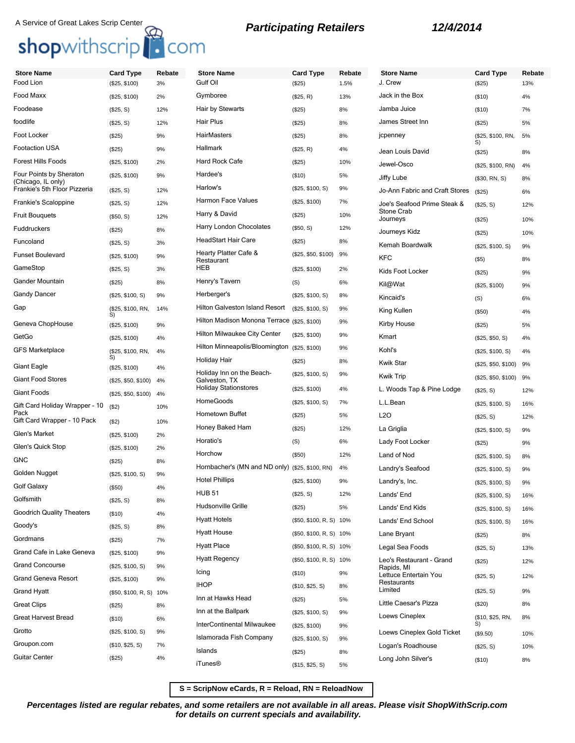# A Service of Great Lakes Scrip Center<br> **Shop**withscrip<br> **COM** Participating Retailers 12/4/2014

| <b>Store Name</b>                             | Card Type               | Rebate | <b>Store Name</b>                               | <b>Card Type</b>        | Rebate | <b>Store Name</b>                   | <b>Card Type</b>       | Rebate |
|-----------------------------------------------|-------------------------|--------|-------------------------------------------------|-------------------------|--------|-------------------------------------|------------------------|--------|
| Food Lion                                     | (\$25, \$100)           | 3%     | Gulf Oil                                        | (\$25)                  | 1.5%   | J. Crew                             | (\$25)                 | 13%    |
| Food Maxx                                     | (\$25, \$100)           | 2%     | Gymboree                                        | (\$25, R)               | 13%    | Jack in the Box                     | (\$10)                 | 4%     |
| Foodease                                      | (\$25, S)               | 12%    | Hair by Stewarts                                | (\$25)                  | 8%     | Jamba Juice                         | (\$10)                 | 7%     |
| foodlife                                      | (\$25, S)               | 12%    | Hair Plus                                       | (\$25)                  | 8%     | James Street Inn                    | (\$25)                 | 5%     |
| Foot Locker                                   | (\$25)                  | 9%     | HairMasters                                     | (\$25)                  | 8%     | jcpenney                            | (\$25, \$100, RN,      | 5%     |
| Footaction USA                                | (\$25)                  | 9%     | Hallmark                                        | (\$25, R)               | 4%     | Jean Louis David                    | S)<br>(\$25)           | 8%     |
| Forest Hills Foods                            | (\$25, \$100)           | 2%     | Hard Rock Cafe                                  | (\$25)                  | 10%    | Jewel-Osco                          | (\$25, \$100, RN)      | 4%     |
| Four Points by Sheraton<br>(Chicago, IL only) | (\$25, \$100)           | 9%     | Hardee's                                        | (\$10)                  | 5%     | Jiffy Lube                          | (\$30, RN, S)          | 8%     |
| Frankie's 5th Floor Pizzeria                  | (\$25, S)               | 12%    | Harlow's                                        | (\$25, \$100, S)        | 9%     | Jo-Ann Fabric and Craft Stores      | (\$25)                 | 6%     |
| Frankie's Scaloppine                          | (\$25, S)               | 12%    | Harmon Face Values                              | (\$25, \$100)           | 7%     | Joe's Seafood Prime Steak &         | (\$25, S)              | 12%    |
| <b>Fruit Bouquets</b>                         | (\$50, S)               | 12%    | Harry & David                                   | (\$25)                  | 10%    | Stone Crab<br>Journeys              | (\$25)                 | 10%    |
| Fuddruckers                                   | (\$25)                  | 8%     | Harry London Chocolates                         | (\$50, S)               | 12%    | Journeys Kidz                       | (\$25)                 | 10%    |
| Funcoland                                     | (\$25, S)               | 3%     | <b>HeadStart Hair Care</b>                      | (\$25)                  | 8%     | Kemah Boardwalk                     | (\$25, \$100, S)       | 9%     |
| <b>Funset Boulevard</b>                       | (\$25, \$100)           | 9%     | Hearty Platter Cafe &<br>Restaurant             | (\$25, \$50, \$100)     | 9%     | <b>KFC</b>                          | $($ \$5)               | 8%     |
| GameStop                                      | (\$25, S)               | 3%     | HEB                                             | (\$25, \$100)           | 2%     | Kids Foot Locker                    | (\$25)                 | 9%     |
| Gander Mountain                               | (\$25)                  | 8%     | Henry's Tavern                                  | (S)                     | 6%     | Kil@Wat                             | (\$25, \$100)          | 9%     |
| Gandy Dancer                                  | (\$25, \$100, S)        | 9%     | Herberger's                                     | (\$25, \$100, S)        | 8%     | Kincaid's                           | (S)                    | 6%     |
| Gap                                           | (\$25, \$100, RN,       | 14%    | <b>Hilton Galveston Island Resort</b>           | (\$25, \$100, S)        | 9%     | King Kullen                         | (\$50)                 | 4%     |
| Geneva ChopHouse                              | S)<br>(\$25, \$100)     | 9%     | Hilton Madison Monona Terrace (\$25, \$100)     |                         | 9%     | Kirby House                         | (\$25)                 | 5%     |
| GetGo                                         | (\$25, \$100)           | 4%     | <b>Hilton Milwaukee City Center</b>             | (\$25, \$100)           | 9%     | Kmart                               | (\$25, \$50, S)        | 4%     |
| <b>GFS Marketplace</b>                        | (\$25, \$100, RN,       | 4%     | Hilton Minneapolis/Bloomington                  | (\$25, \$100)           | 9%     | Kohl's                              | (\$25, \$100, S)       | 4%     |
| Giant Eagle                                   | S)                      |        | Holiday Hair                                    | (\$25)                  | 8%     | <b>Kwik Star</b>                    | (\$25, \$50, \$100)    | 9%     |
| <b>Giant Food Stores</b>                      | (\$25, \$100)           | 4%     | Holiday Inn on the Beach-<br>Galveston, TX      | (\$25, \$100, S)        | 9%     | <b>Kwik Trip</b>                    | (\$25, \$50, \$100)    | 9%     |
| Giant Foods                                   | (\$25, \$50, \$100)     | 4%     | <b>Holiday Stationstores</b>                    | (\$25, \$100)           | 4%     | L. Woods Tap & Pine Lodge           | (\$25, S)              | 12%    |
| Gift Card Holiday Wrapper - 10                | (\$25, \$50, \$100)     | 4%     | HomeGoods                                       | (\$25, \$100, S)        | 7%     | L.L.Bean                            | (\$25, \$100, S)       | 16%    |
| Pack                                          | (\$2)                   | 10%    | Hometown Buffet                                 | (\$25)                  | 5%     | L2O                                 | (\$25, S)              | 12%    |
| Gift Card Wrapper - 10 Pack                   | ( \$2)                  | 10%    | Honey Baked Ham                                 | (\$25)                  | 12%    | La Griglia                          | (\$25, \$100, S)       | 9%     |
| Glen's Market                                 | (\$25, \$100)           | 2%     | Horatio's                                       | (S)                     | 6%     | Lady Foot Locker                    | (\$25)                 | 9%     |
| Glen's Quick Stop                             | (\$25, \$100)           | 2%     | Horchow                                         | (\$50)                  | 12%    | Land of Nod                         | (\$25, \$100, S)       | 8%     |
| GNC                                           | (\$25)                  | 8%     | Hornbacher's (MN and ND only) (\$25, \$100, RN) |                         | 4%     | Landry's Seafood                    | (\$25, \$100, S)       | 9%     |
| Golden Nugget                                 | (\$25, \$100, S)        | 9%     | <b>Hotel Phillips</b>                           | (\$25, \$100)           | 9%     | Landry's, Inc.                      | (\$25, \$100, S)       | 9%     |
| Golf Galaxy                                   | (\$50)                  | 4%     | <b>HUB 51</b>                                   | (\$25, S)               | 12%    | Lands' End                          | (\$25, \$100, S)       | 16%    |
| Golfsmith                                     | (\$25, S)               | 8%     | <b>Hudsonville Grille</b>                       | (\$25)                  | 5%     | Lands' End Kids                     | (\$25, \$100, S)       | 16%    |
| <b>Goodrich Quality Theaters</b>              | (\$10)                  | 4%     | <b>Hyatt Hotels</b>                             | (\$50, \$100, R, S) 10% |        | Lands' End School                   | (\$25, \$100, S)       | 16%    |
| Goody's                                       | (\$25, S)               | 8%     | <b>Hyatt House</b>                              | (\$50, \$100, R, S) 10% |        | Lane Bryant                         | (\$25)                 | 8%     |
| Gordmans                                      | (\$25)                  | 7%     | <b>Hyatt Place</b>                              | (\$50, \$100, R, S) 10% |        | Legal Sea Foods                     | (\$25, S)              | 13%    |
| Grand Cafe in Lake Geneva                     | (\$25, \$100)           | 9%     | <b>Hyatt Regency</b>                            | (\$50, \$100, R, S) 10% |        | Leo's Restaurant - Grand            | (\$25)                 | 12%    |
| <b>Grand Concourse</b>                        | (\$25, \$100, S)        | 9%     | Icing                                           | (\$10)                  | 9%     | Rapids, MI<br>Lettuce Entertain You |                        |        |
| Grand Geneva Resort                           | (\$25, \$100)           | 9%     | <b>IHOP</b>                                     | (\$10, \$25, S)         | 8%     | Restaurants                         | (\$25, S)              | 12%    |
| <b>Grand Hyatt</b>                            | (\$50, \$100, R, S) 10% |        | Inn at Hawks Head                               | (\$25)                  | 5%     | Limited                             | (\$25, S)              | 9%     |
| <b>Great Clips</b>                            | (\$25)                  | 8%     | Inn at the Ballpark                             | (\$25, \$100, S)        | 9%     | Little Caesar's Pizza               | (\$20)                 | 8%     |
| Great Harvest Bread                           | (\$10)                  | 6%     | InterContinental Milwaukee                      | (\$25, \$100)           | 9%     | Loews Cineplex                      | (\$10, \$25, RN,<br>S) | 8%     |
| Grotto                                        | (\$25, \$100, S)        | 9%     | Islamorada Fish Company                         | (\$25, \$100, S)        | 9%     | Loews Cineplex Gold Ticket          | (\$9.50)               | 10%    |
| Groupon.com                                   | (\$10, \$25, S)         | 7%     | Islands                                         | (\$25)                  | 8%     | Logan's Roadhouse                   | (\$25, S)              | 10%    |
| Guitar Center                                 | (\$25)                  | 4%     | <b>iTunes®</b>                                  | (\$15, \$25, S)         | 5%     | Long John Silver's                  | (\$10)                 | 8%     |
|                                               |                         |        |                                                 |                         |        |                                     |                        |        |

**S = ScripNow eCards, R = Reload, RN = ReloadNow**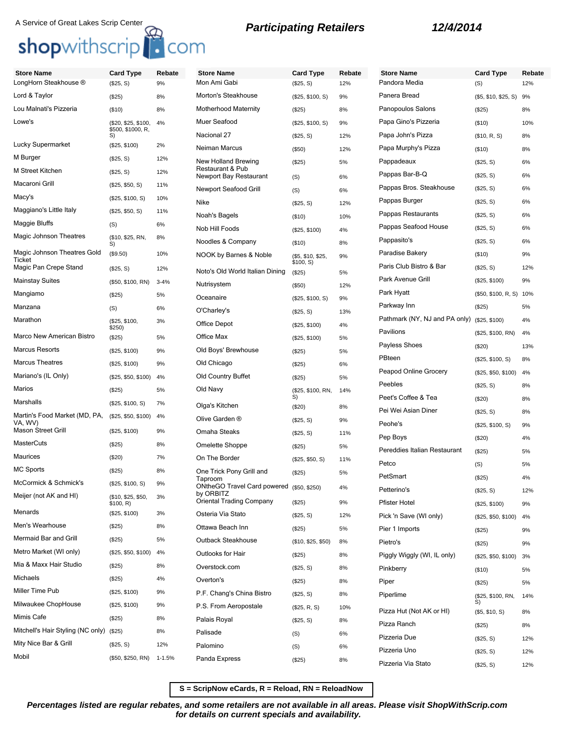## A Service of Great Lakes Scrip Center<br>**Participating Retailers 12/4/2014**

## shopwithscrip<sup>1</sup>. com

## **Store Name Card Type Rebate** LongHorn Steakhouse ® (\$25, S) 9% Lord & Taylor (\$25) 8% Lou Malnati's Pizzeria (\$10) 8% Lowe's (\$20, \$25, \$100, \$500, \$1000, R, S) 4% Lucky Supermarket (\$25, \$100) 2% M Burger (\$25, S) 12% M Street Kitchen (\$25, S) 12% Macaroni Grill (\$25, \$50, S) 11% Macy's (\$25, \$100, S) 10% Maggiano's Little Italy (\$25, \$50, S) 11% Maggie Bluffs (S) 6% Magic Johnson Theatres  $($10, $25, RN, S)$ 8% Magic Johnson Theatres Gold **Ticket** (\$9.50) 10% Magic Pan Crepe Stand (\$25, S) 12% Mainstay Suites (\$50, \$100, RN) 3-4% Mangiamo (\$25) 5% Manzana (S) 6% Marathon (\$25, \$100, \$250) 3% Marco New American Bistro (\$25) 5% Marcus Resorts (\$25, \$100) 9% Marcus Theatres (\$25, \$100) 9% Mariano's (IL Only) (\$25, \$50, \$100) 4% Marios (\$25) 5% Marshalls (\$25, \$100, S) 7% Martin's Food Market (MD, PA, VA, WV) (\$25, \$50, \$100) 4% Mason Street Grill (\$25, \$100) 9% MasterCuts (\$25) 8% Maurices (\$20) 7% MC Sports (\$25) 8% McCormick & Schmick's (\$25, \$100, S) 9% Meijer (not AK and HI) (\$10, \$25, \$50,<br>\$100, R) 3% Menards (\$25, \$100) 3% Men's Wearhouse (\$25) 8% Mermaid Bar and Grill (\$25) 5% Metro Market (WI only) (\$25, \$50, \$100) 4% Mia & Maxx Hair Studio (\$25) 8% Michaels (\$25) 4% Miller Time Pub (\$25, \$100) 9% Milwaukee ChopHouse (\$25, \$100) 9% Mimis Cafe (\$25) 8% Mitchell's Hair Styling (NC only) (\$25) 8% Mity Nice Bar & Grill (\$25, S) 12% Mobil (\$50, \$250, RN) 1-1.5% **Store Name** Mon Ami Gabi Morton's Steakhouse Motherhood Maternity Muer Seafood Nacional 27 Neiman Marcus New Holland Brewing Restaurant & Pub Newport Bay Restaurant Newport Seafood Grill Nike (\$25, S) 12% Noah's Bagels Nob Hill Foods Noodles & Company NOOK by Barnes & Noble Noto's Old World Italian Di **Nutrisystem** Oceanaire O'Charley's Office Depot Office Max Old Boys' Brewhouse Old Chicago Old Country Buffet Old Navv S) Olga's Kitchen Olive Garden ® Omaha Steaks Omelette Shoppe On The Border One Trick Pony Grill and Taproom ONtheGO Travel Card pov by ORBITZ **Oriental Trading Company** Osteria Via Stato Ottawa Beach Inn Outback Steakhouse Outlooks for Hair Overstock.com Overton's P.F. Chang's China Bistro P.S. From Aeropostale Palais Royal Palisade Palomino

|      | <b>Card Type</b>        | Rebate | St   |
|------|-------------------------|--------|------|
|      | (\$25, S)               | 12%    | Par  |
|      | (\$25, \$100, S)        | 9%     | Par  |
|      | (\$25)                  | 8%     | Par  |
|      | (\$25, \$100, S)        | 9%     | Pap  |
|      | (\$25, S)               | 12%    | Pap  |
|      | (\$50)                  | 12%    | Pap  |
|      | (\$25)                  | 5%     | Pap  |
|      | (S)                     | 6%     | Pap  |
|      | (S)                     | 6%     | Pap  |
|      | (\$25, S)               | 12%    | Pap  |
|      | (\$10)                  | 10%    | Pap  |
|      | (\$25, \$100)           | 4%     | Pap  |
|      | (\$10)                  | 8%     | Pap  |
|      | (\$5, \$10, \$25,       | 9%     | Par  |
| ning | \$100, S)<br>(\$25)     | 5%     | Par  |
|      | $($ \$50)               | 12%    | Par  |
|      | (\$25, \$100, S)        | 9%     | Par  |
|      | (\$25, S)               | 13%    | Par  |
|      |                         | 4%     | Pat  |
|      | (\$25, \$100)           |        | Pay  |
|      | (\$25, \$100)           | 5%     | Pay  |
|      | (\$25)                  | 5%     | PB   |
|      | (\$25)                  | 6%     | Pea  |
|      | (\$25)                  | 5%     | Pee  |
|      | (\$25, \$100, RN,<br>S) | 14%    | Реє  |
|      | (\$20)                  | 8%     | Pei  |
|      | (\$25, S)               | 9%     | Peo  |
|      | (\$25, S)               | 11%    | Per  |
|      | (\$25)                  | 5%     | Per  |
|      | (\$25, \$50, S)         | 11%    | Pet  |
|      | (\$25)                  | 5%     | Pet  |
|      | rered (\$50, \$250)     | 4%     | Pet  |
|      | (\$25)                  | 9%     | Pfis |
|      | (\$25, S)               | 12%    | Pic  |
|      | (\$25)                  | 5%     | Pie  |
|      | (\$10, \$25, \$50)      | 8%     | Pie  |
|      | (\$25)                  | 8%     | Pig  |
|      | (\$25, S)               | 8%     | Pin  |
|      | (\$25)                  | 8%     |      |
|      |                         | 8%     | Pip  |
|      | (\$25, S)               |        | Pip  |
|      | (\$25, R, S)            | 10%    | Piz  |
|      | (\$25, S)               | 8%     | Piz: |
|      | (S)                     | 6%     | Piz: |
|      | (S)                     | 6%     | Piz  |
|      | (\$25)                  | 8%     | Piz  |
|      |                         |        |      |

| <b>Store Name</b>                           | <b>Card Type</b>     | Rebate |
|---------------------------------------------|----------------------|--------|
| Pandora Media                               | (S)                  | 12%    |
| Panera Bread                                | (\$5, \$10, \$25, S) | 9%     |
| Panopoulos Salons                           | (\$25)               | 8%     |
| Papa Gino's Pizzeria                        | (\$10)               | 10%    |
| Papa John's Pizza                           | (\$10, R, S)         | 8%     |
| Papa Murphy's Pizza                         | (\$10)               | 8%     |
| Pappadeaux                                  | (\$25, S)            | 6%     |
| Pappas Bar-B-Q                              | (\$25, S)            | 6%     |
| Pappas Bros. Steakhouse                     | (\$25, S)            | 6%     |
| Pappas Burger                               | (\$25, S)            | 6%     |
| Pappas Restaurants                          | (\$25, S)            | 6%     |
| Pappas Seafood House                        | (\$25, S)            | 6%     |
| Pappasito's                                 | (\$25, S)            | 6%     |
| Paradise Bakery                             | (\$10)               | 9%     |
| Paris Club Bistro & Bar                     | (\$25, S)            | 12%    |
| Park Avenue Grill                           | (\$25, \$100)        | 9%     |
| Park Hyatt                                  | (\$50, \$100, R, S)  | 10%    |
| Parkway Inn                                 | (\$25)               | 5%     |
| Pathmark (NY, NJ and PA only) (\$25, \$100) |                      | 4%     |
| Pavilions                                   | (\$25, \$100, RN)    | 4%     |
| Payless Shoes                               | (\$20)               | 13%    |
| PBteen                                      | (\$25, \$100, S)     | 8%     |
| Peapod Online Grocery                       | (\$25, \$50, \$100)  | 4%     |
| Peebles                                     | (\$25, S)            | 8%     |
| Peet's Coffee & Tea                         | (\$20)               | 8%     |
| Pei Wei Asian Diner                         | (\$25, S)            | 8%     |
| Peohe's                                     | (\$25, \$100, S)     | 9%     |
| Pep Boys                                    | (\$20)               | 4%     |
| Pereddies Italian Restaurant                | (\$25)               | 5%     |
| Petco                                       | (S)                  | 5%     |
| PetSmart                                    | (\$25)               | 4%     |
| Petterino's                                 | (\$25, S)            | 12%    |
| Pfister Hotel                               | (\$25, \$100)        | 9%     |
| Pick 'n Save (WI only)                      | (\$25, \$50, \$100)  | 4%     |
| Pier 1 Imports                              | (\$25)               | 9%     |
| Pietro's                                    | (\$25)               | 9%     |
| Piggly Wiggly (WI, IL only)                 | (\$25, \$50, \$100)  | 3%     |
| Pinkberry                                   | (\$10)               | 5%     |
| Piper                                       | (\$25)               | 5%     |
| Piperlime                                   | (\$25, \$100, RN,    | 14%    |
| Pizza Hut (Not AK or HI)                    | (\$5, \$10, S)       | 8%     |
| Pizza Ranch                                 | (\$25)               | 8%     |
| Pizzeria Due                                | (\$25, S)            | 12%    |
| Pizzeria Uno                                | (\$25, S)            | 12%    |
| Pizzeria Via Stato                          | (\$25, S)            | 12%    |

**S = ScripNow eCards, R = Reload, RN = ReloadNow**

**Percentages listed are regular rebates, and some retailers are not available in all areas. Please visit ShopWithScrip.com for details on current specials and availability.**

Panda Express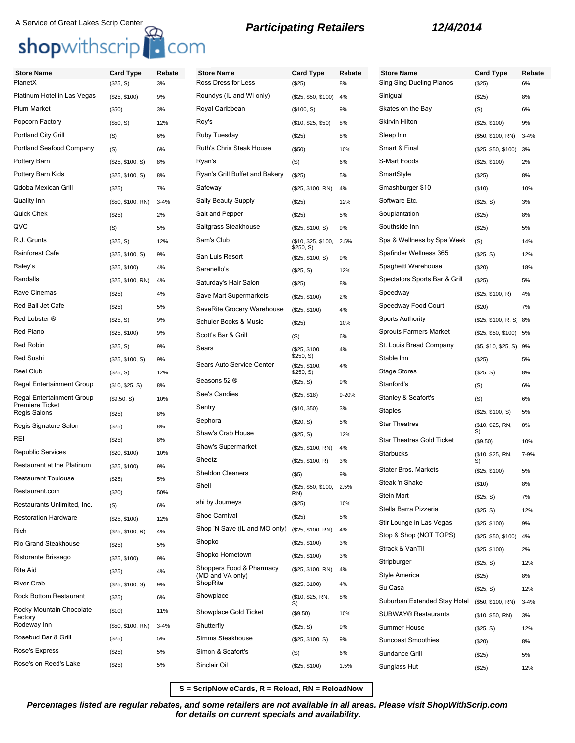## A Service of Great Lakes Scrip Center<br> **Shop**withscrip<br> **COM** *Participating Retailers*

| <b>Store Name</b>                            | <b>Card Type</b>  | Rebate   | <b>Store Name</b>                            | <b>Card Type</b>                 | Rebate          |
|----------------------------------------------|-------------------|----------|----------------------------------------------|----------------------------------|-----------------|
| PlanetX                                      | (\$25, S)         | 3%       | Ross Dress for Less                          | (\$25)                           | 8%              |
| Platinum Hotel in Las Vegas                  | (\$25, \$100)     | 9%       | Roundys (IL and WI only)                     | (\$25, \$50, \$100)              | 4%              |
| <b>Plum Market</b>                           | (\$50)            | 3%       | Royal Caribbean                              | (\$100, S)                       | 9%              |
| Popcorn Factory                              | (\$50, S)         | 12%      | Roy's                                        | (\$10, \$25, \$50)               | 8%              |
| Portland City Grill                          | (S)               | 6%       | Ruby Tuesday                                 | (\$25)                           | 8%              |
| Portland Seafood Company                     | (S)               | 6%       | <b>Ruth's Chris Steak House</b>              | (\$50)                           | 10%             |
| Pottery Barn                                 | (\$25, \$100, S)  | 8%       | Ryan's                                       | (S)                              | 6%              |
| Pottery Barn Kids                            | (\$25, \$100, S)  | 8%       | Ryan's Grill Buffet and Bakery               | (\$25)                           | 5%              |
| Qdoba Mexican Grill                          | (\$25)            | 7%       | Safeway                                      | (\$25, \$100, RN)                | 4%              |
| Quality Inn                                  | (\$50, \$100, RN) | $3 - 4%$ | Sally Beauty Supply                          | (\$25)                           | 12%             |
| <b>Quick Chek</b>                            | (\$25)            | 2%       | Salt and Pepper                              | (\$25)                           | 5%              |
| QVC                                          | (S)               | 5%       | Saltgrass Steakhouse                         | (\$25, \$100, S)                 | 9%              |
| R.J. Grunts                                  | (\$25, S)         | 12%      | Sam's Club                                   | (\$10, \$25, \$100,<br>\$250, S) | 2.5%            |
| Rainforest Cafe                              | (\$25, \$100, S)  | 9%       | San Luis Resort                              | (\$25, \$100, S)                 | 9%              |
| Raley's                                      | (\$25, \$100)     | 4%       | Saranello's                                  | (\$25, S)                        | 12%             |
| Randalls                                     | (\$25, \$100, RN) | 4%       | Saturday's Hair Salon                        | (\$25)                           | 8%              |
| Rave Cinemas                                 | (\$25)            | 4%       | Save Mart Supermarkets                       | (\$25, \$100)                    | 2%              |
| Red Ball Jet Cafe                            | (\$25)            | 5%       | SaveRite Grocery Warehouse                   | (\$25, \$100)                    | 4%              |
| Red Lobster ®                                | (\$25, S)         | 9%       | Schuler Books & Music                        | (\$25)                           | 10%             |
| Red Piano                                    | (\$25, \$100)     | 9%       | Scott's Bar & Grill                          | (S)                              | 6%              |
| Red Robin                                    | (\$25, S)         | 9%       | Sears                                        | (\$25, \$100,                    | 4%              |
| Red Sushi                                    | (\$25, \$100, S)  | 9%       | Sears Auto Service Center                    | \$250, S)<br>(\$25, \$100,       | 4%              |
| Reel Club                                    | (\$25, S)         | 12%      |                                              | \$250, S)                        |                 |
| Regal Entertainment Group                    | (\$10, \$25, S)   | 8%       | Seasons 52 ®                                 | (\$25, S)                        | 9%              |
| Regal Entertainment Group<br>Premiere Ticket | (\$9.50, S)       | 10%      | See's Candies<br>Sentry                      | (\$25, \$18)                     | $9 - 20%$<br>3% |
| <b>Regis Salons</b>                          | (\$25)            | 8%       | Sephora                                      | (\$10, \$50)                     |                 |
| Regis Signature Salon                        | (\$25)            | 8%       | Shaw's Crab House                            | (\$20, S)                        | 5%              |
| REI                                          | (\$25)            | 8%       |                                              | (\$25, S)                        | 12%             |
| <b>Republic Services</b>                     | (\$20, \$100)     | 10%      | Shaw's Supermarket<br>Sheetz                 | (\$25, \$100, RN)                | 4%              |
| Restaurant at the Platinum                   | (\$25, \$100)     | 9%       |                                              | (\$25, \$100, R)                 | 3%              |
| <b>Restaurant Toulouse</b>                   | (\$25)            | 5%       | <b>Sheldon Cleaners</b>                      | $($ \$5)                         | 9%              |
| Restaurant.com                               | (\$20)            | 50%      | Shell                                        | (\$25, \$50, \$100,<br>RN)       | 2.5%            |
| Restaurants Unlimited, Inc.                  | (S)               | 6%       | shi by Journeys                              | (\$25)                           | 10%             |
| <b>Restoration Hardware</b>                  | (\$25, \$100)     | 12%      | Shoe Carnival                                | (\$25)                           | 5%              |
| Rich                                         | (\$25, \$100, R)  | 4%       | Shop 'N Save (IL and MO only)                | (\$25, \$100, RN)                | 4%              |
| <b>Rio Grand Steakhouse</b>                  | (\$25)            | 5%       | Shopko                                       | (\$25, \$100)                    | 3%              |
| Ristorante Brissago                          | (\$25, \$100)     | 9%       | Shopko Hometown                              | (\$25, \$100)                    | 3%              |
| <b>Rite Aid</b>                              | (\$25)            | 4%       | Shoppers Food & Pharmacy<br>(MD and VA only) | (\$25, \$100, RN)                | 4%              |
| <b>River Crab</b>                            | (\$25, \$100, S)  | 9%       | ShopRite                                     | (\$25, \$100)                    | 4%              |
| <b>Rock Bottom Restaurant</b>                | (\$25)            | 6%       | Showplace                                    | (\$10, \$25, RN,<br>S)           | 8%              |
| Rocky Mountain Chocolate<br>Factory          | (\$10)            | 11%      | Showplace Gold Ticket                        | (\$9.50)                         | 10%             |
| Rodeway Inn                                  | (\$50, \$100, RN) | $3 - 4%$ | Shutterfly                                   | (\$25, S)                        | 9%              |
| Rosebud Bar & Grill                          | (\$25)            | 5%       | Simms Steakhouse                             | (\$25, \$100, S)                 | 9%              |
| Rose's Express                               | (\$25)            | 5%       | Simon & Seafort's                            | (S)                              | 6%              |
| Rose's on Reed's Lake                        | (\$25)            | 5%       | Sinclair Oil                                 | (\$25, \$100)                    | 1.5%            |

| <b>Store Name</b>                    | Card Type              | Rebate   |
|--------------------------------------|------------------------|----------|
| Sing Sing Dueling Pianos<br>Sinigual | (\$25)                 | 6%       |
| Skates on the Bay                    | (\$25)                 | 8%       |
| Skirvin Hilton                       | (S)                    | 6%       |
| Sleep Inn                            | (\$25, \$100)          | 9%       |
| Smart & Final                        | (\$50, \$100, RN)      | $3 - 4%$ |
| S-Mart Foods                         | (\$25, \$50, \$100)    | 3%       |
|                                      | (\$25, \$100)          | 2%       |
| SmartStyle                           | (\$25)                 | 8%       |
| Smashburger \$10                     | (\$10)                 | 10%      |
| Software Etc.                        | (\$25, S)              | 3%       |
| Souplantation                        | $(\$25)$               | 8%       |
| Southside Inn                        | (\$25)                 | 5%       |
| Spa & Wellness by Spa Week           | (S)                    | 14%      |
| Spafinder Wellness 365               | (\$25, S)              | 12%      |
| Spaghetti Warehouse                  | (\$20)                 | 18%      |
| Spectators Sports Bar & Grill        | (\$25)                 | 5%       |
| Speedway                             | (\$25, \$100, R)       | 4%       |
| Speedway Food Court                  | (\$20)                 | 7%       |
| Sports Authority                     | (\$25, \$100, R, S)    | 8%       |
| Sprouts Farmers Market               | (\$25, \$50, \$100)    | 5%       |
| St. Louis Bread Company              | (\$5, \$10, \$25, S)   | 9%       |
| Stable Inn                           | (\$25)                 | 5%       |
| Stage Stores                         | (\$25, S)              | 8%       |
| Stanford's                           | (S)                    | 6%       |
| Stanley & Seafort's                  | (S)                    | 6%       |
| Staples                              | (\$25, \$100, S)       | 5%       |
| <b>Star Theatres</b>                 | (\$10, \$25, RN,<br>S) | 8%       |
| <b>Star Theatres Gold Ticket</b>     | (\$9.50)               | 10%      |
| Starbucks                            | (\$10, \$25, RN,<br>S) | 7-9%     |
| Stater Bros. Markets                 | (\$25, \$100)          | 5%       |
| Steak 'n Shake                       | (\$10)                 | 8%       |
| Stein Mart                           | (\$25, S)              | 7%       |
| Stella Barra Pizzeria                | (\$25, S)              | 12%      |
| Stir Lounge in Las Vegas             | (\$25, \$100)          | 9%       |
| Stop & Shop (NOT TOPS)               | (\$25, \$50, \$100)    | 4%       |
| Strack & VanTil                      | (\$25, \$100)          | 2%       |
| Stripburger                          | (\$25, S)              | 12%      |
| Style America                        | (\$25)                 | 8%       |
| Su Casa                              | (\$25, S)              | 12%      |
| Suburban Extended Stay Hotel         | (\$50, \$100, RN)      | $3 - 4%$ |
| <b>SUBWAY® Restaurants</b>           | (\$10, \$50, RN)       | 3%       |
| Summer House                         | (\$25, S)              | 12%      |
| Suncoast Smoothies                   | (\$20)                 | 8%       |
| Sundance Grill                       | (\$25)                 | 5%       |
| Sunglass Hut                         | (\$25)                 | 12%      |
|                                      |                        |          |

**S = ScripNow eCards, R = Reload, RN = ReloadNow**